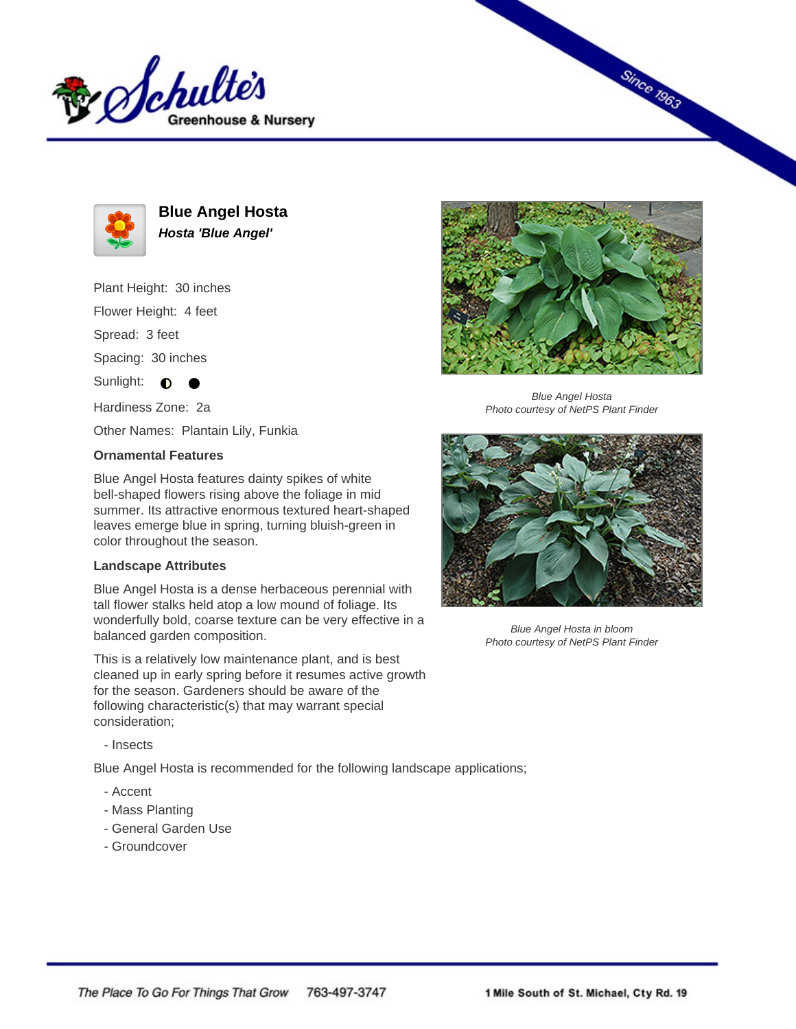



**Blue Angel Hosta Hosta 'Blue Angel'**

Plant Height: 30 inches Flower Height: 4 feet

Spread: 3 feet

Spacing: 30 inches

Sunlight: **O** 

Hardiness Zone: 2a

Other Names: Plantain Lily, Funkia

●

## **Ornamental Features**

Blue Angel Hosta features dainty spikes of white bell-shaped flowers rising above the foliage in mid summer. Its attractive enormous textured heart-shaped leaves emerge blue in spring, turning bluish-green in color throughout the season.

## **Landscape Attributes**

Blue Angel Hosta is a dense herbaceous perennial with tall flower stalks held atop a low mound of foliage. Its wonderfully bold, coarse texture can be very effective in a balanced garden composition.

This is a relatively low maintenance plant, and is best cleaned up in early spring before it resumes active growth for the season. Gardeners should be aware of the following characteristic(s) that may warrant special consideration;

- Insects

Blue Angel Hosta is recommended for the following landscape applications;

- Accent
- Mass Planting
- General Garden Use
- Groundcover



**Since 1963** 

Blue Angel Hosta Photo courtesy of NetPS Plant Finder



Blue Angel Hosta in bloom Photo courtesy of NetPS Plant Finder